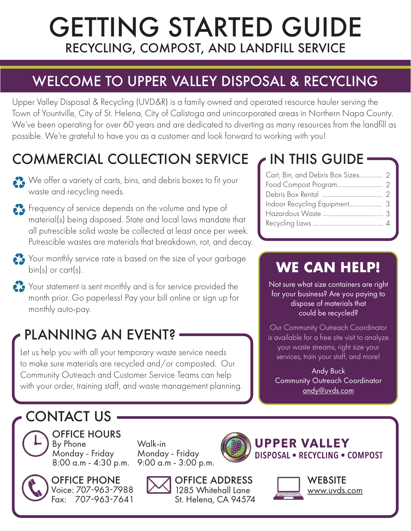# GETTING STARTED GUIDE RECYCLING, COMPOST, AND LANDFILL SERVICE

## WELCOME TO UPPER VALLEY DISPOSAL & RECYCLING

Upper Valley Disposal & Recycling (UVD&R) is a family owned and operated resource hauler serving the Town of Yountville, City of St. Helena, City of Calistoga and unincorporated areas in Northern Napa County. We've been operating for over 60 years and are dedicated to diverting as many resources from the landfill as possible. We're grateful to have you as a customer and look forward to working with you!

## COMMERCIAL COLLECTION SERVICE

We offer a variety of carts, bins, and debris boxes to fit your waste and recycling needs.



Your monthly service rate is based on the size of your garbage bin(s) or cart(s).



## PLANNING AN EVENT?

Let us help you with all your temporary waste service needs to make sure materials are recycled and/or composted. Our Community Outreach and Customer Service Teams can help with your order, training staff, and waste management planning.

### IN THIS GUIDE

| Cart, Bin, and Debris Box Sizes 2 |  |
|-----------------------------------|--|
|                                   |  |
|                                   |  |
|                                   |  |
|                                   |  |
|                                   |  |

## **WE CAN HELP!**

Not sure what size containers are right for your business? Are you paying to dispose of materials that could be recycled?

Our Community Outreach Coordinator is available for a free site visit to analyze your waste streams, right size your services, train your staff, and more!

Andy Buck Community Outreach Coordinator [andy@uvds.com](mailto:andy%40uvds.com?subject=)

## CONTACT US



OFFICE HOURS By Phone Monday - Friday 8:00 a.m - 4:30 p.m.



OFFICE PHONE Voice: 707-963-7988 Fax: 707-963-7641

Walk-in Monday - Friday 9:00 a.m - 3:00 p.m.



1285 Whitehall Lane St. Helena, CA 94574







WEBSITE [www.uvds.com](http://www.uvds.com)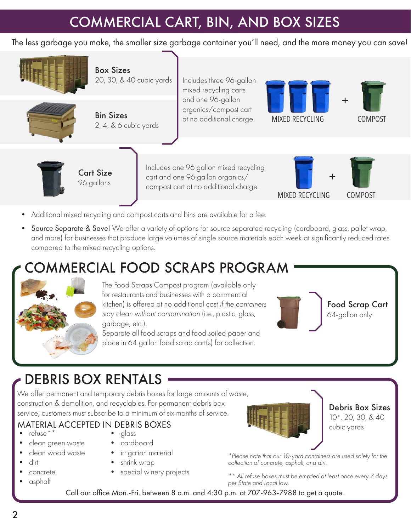### COMMERCIAL CART, BIN, AND BOX SIZES

The less garbage you make, the smaller size garbage container you'll need, and the more money you can save!



- Additional mixed recycling and compost carts and bins are available for a fee.
- Source Separate & Save! We offer a variety of options for source separated recycling (cardboard, glass, pallet wrap, and more) for businesses that produce large volumes of single source materials each week at significantly reduced rates compared to the mixed recycling options.

### MMERCIAL FOOD SCRAPS PROGRAM



The Food Scraps Compost program (available only for restaurants and businesses with a commercial kitchen) is offered at no additional cost *if the containers stay clean without contamination* (i.e., plastic, glass, garbage, etc.).

Separate all food scraps and food soiled paper and place in 64 gallon food scrap cart(s) for collection.



Food Scrap Cart 64-gallon only

### DEBRIS BOX RENTALS

We offer permanent and temporary debris boxes for large amounts of waste, construction & demolition, and recyclables. For permanent debris box service, customers must subscribe to a minimum of six months of service.<br>Service, customers must subscribe to a minimum of six months of service.

### cubic yards • refuse\*\* MATERIAL ACCEPTED IN DEBRIS BOXES

- 
- clean green waste
- clean wood waste
- dirt
- concrete
- asphalt
- alass
- cardboard
- irrigation material
- shrink wrap
- special winery projects



10\*, 20, 30, & 40

*\*Please note that our 10-yard containers are used solely for the collection of concrete, asphalt, and dirt.*

*\*\* All refuse boxes must be emptied at least once every 7 days per State and Local law.*

Call our office Mon.-Fri. between 8 a.m. and 4:30 p.m. at 707-963-7988 to get a quote.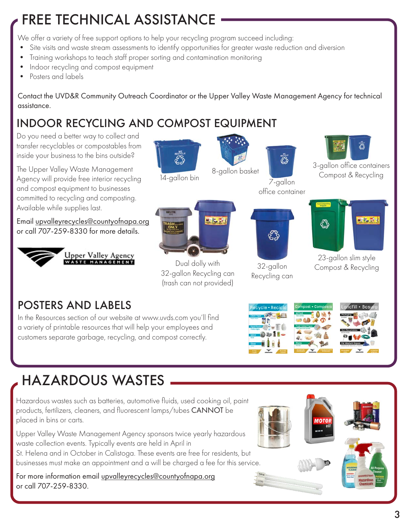## FREE TECHNICAL ASSISTANCE

We offer a variety of free support options to help your recycling program succeed including:

- Site visits and waste stream assessments to identify opportunities for greater waste reduction and diversion
- Training workshops to teach staff proper sorting and contamination monitoring
- Indoor recycling and compost equipment
- Posters and labels

Contact the UVD&R Community Outreach Coordinator or the Upper Valley Waste Management Agency for technical assistance.

### INDOOR RECYCLING AND COMPOST EQUIPMENT

Do you need a better way to collect and transfer recyclables or compostables from inside your business to the bins outside? 3-gallon office containers The Upper Valley Waste Management 14-gallon bin 8-gallon basket Compost & Recycling Agency will provide free interior recycling 7-gallon and compost equipment to businesses office container committed to recycling and composting. Available while supplies last. **M. To off** M. F. L. Email [upvalleyrecycles@countyofnapa.org](mailto:upvalleyrecycles%40countyofnapa.org?subject=) or call 707-259-8330 for more details. ళ్లొస్తి Upper Valley Agency 23-gallon slim style Dual dolly with  $\frac{25 \text{ g}}{\text{Compost}}$  & Recycling 32-gallon 32-gallon Recycling can Recycling can (trash can not provided) POSTERS AND LABELS In the Resources section of our website at www.uvds.com you'll find a variety of printable resources that will help your employees and customers separate garbage, recycling, and compost correctly.

## HAZARDOUS WASTES

Hazardous wastes such as batteries, automotive fluids, used cooking oil, paint products, fertilizers, cleaners, and fluorescent lamps/tubes CANNOT be placed in bins or carts.

Upper Valley Waste Management Agency sponsors twice yearly hazardous waste collection events. Typically events are held in April in St. Helena and in October in Calistoga. These events are free for residents, but businesses must make an appointment and a will be charged a fee for this service.

For more information email [upvalleyrecycles@countyofnapa.org](mailto:upvalleyrecycles%40countyofnapa.org?subject=) or call 707-259-8330.